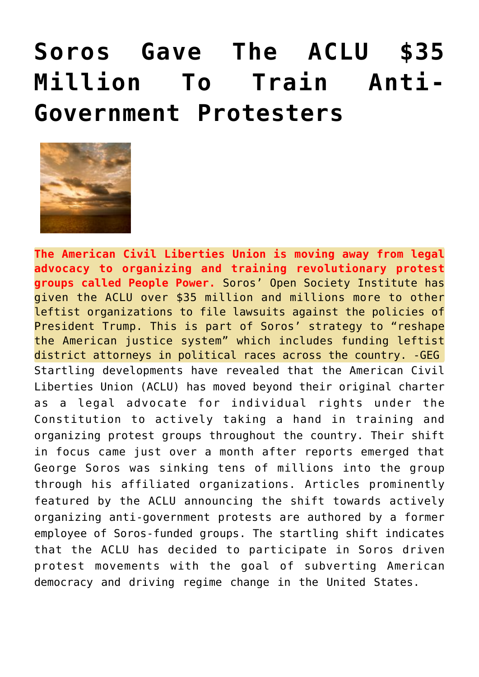## **[Soros Gave The ACLU \\$35](https://needtoknow.news/2017/03/524/) [Million To Train Anti-](https://needtoknow.news/2017/03/524/)[Government Protesters](https://needtoknow.news/2017/03/524/)**



**The American Civil Liberties Union is moving away from legal advocacy to organizing and training revolutionary protest groups called People Power.** Soros' Open Society Institute has given the ACLU over \$35 million and millions more to other leftist organizations to file lawsuits against the policies of President Trump. This is part of Soros' strategy to "reshape the American justice system" which includes funding leftist district attorneys in political races across the country. -GEG Startling developments have revealed that the American Civil Liberties Union (ACLU) has moved beyond their original charter as a legal advocate for individual rights under the Constitution to actively taking a hand in training and organizing protest groups throughout the country. Their shift in focus came just over a month after reports emerged that George Soros was sinking tens of millions into the group through his affiliated organizations. Articles prominently featured by the ACLU announcing the shift towards actively organizing anti-government protests are authored by a former employee of Soros-funded groups. The startling shift indicates that the ACLU has decided to participate in Soros driven protest movements with the goal of subverting American democracy and driving regime change in the United States.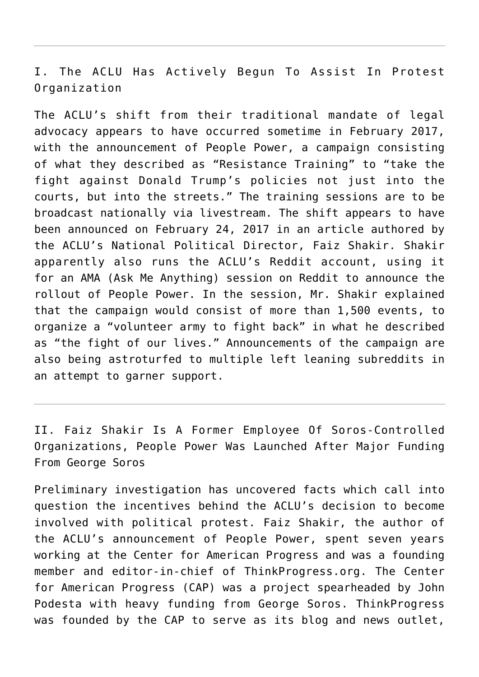I. The ACLU Has Actively Begun To Assist In Protest Organization

The ACLU's shift from their traditional mandate of legal advocacy appears to have occurred sometime in February 2017, with the announcement of [People Power](http://archive.is/kQ0er), a campaign consisting of what they described as "Resistance Training" to "take the fight against Donald Trump's policies not just into the courts, but into the streets." The training sessions are to be broadcast nationally via livestream. The shift appears to have been announced on February 24, 2017 in an [article](http://archive.is/jGKiJ) authored by the ACLU's National Political Director, Faiz Shakir. Shakir apparently also runs the ACLU's Reddit account, using it for an [AMA \(Ask Me Anything\) session on Reddit](http://archive.is/PlnGI) to announce the rollout of People Power. In the session, Mr. Shakir explained that the campaign would consist of more than 1,500 events, to organize a "volunteer army to fight back" in what he described as "the fight of our lives." Announcements of the campaign are also being [astroturfed](http://archive.is/QPfzo) to multiple left leaning subreddits in an attempt to garner support.

II. Faiz Shakir Is A Former Employee Of Soros-Controlled Organizations, People Power Was Launched After Major Funding From George Soros

Preliminary investigation has uncovered facts which call into question the incentives behind the ACLU's decision to become involved with political protest. [Faiz Shakir](http://archive.is/wivSY), the author of the ACLU's announcement of People Power, spent seven years working at the Center for American Progress and was a founding member and editor-in-chief of ThinkProgress.org. The [Center](http://archive.is/zflYY) [for American Progress](http://archive.is/zflYY) (CAP) was a project spearheaded by John Podesta with heavy funding from George Soros. [ThinkProgress](http://archive.is/ihwA6) was founded by the CAP to serve as its blog and news outlet,